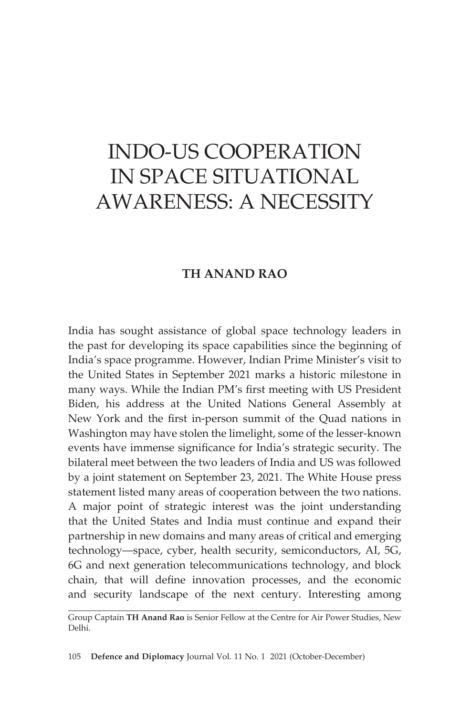# INDO-US COOPERATION IN SPACE SITUATIONAL AWARENESS: A NECESSITY

# **TH ANAND RAO**

India has sought assistance of global space technology leaders in the past for developing its space capabilities since the beginning of India's space programme. However, Indian Prime Minister's visit to the United States in September 2021 marks a historic milestone in many ways. While the Indian PM's first meeting with US President Biden, his address at the United Nations General Assembly at New York and the first in-person summit of the Quad nations in Washington may have stolen the limelight, some of the lesser-known events have immense significance for India's strategic security. The bilateral meet between the two leaders of India and US was followed by a joint statement on September 23, 2021. The White House press statement listed many areas of cooperation between the two nations. A major point of strategic interest was the joint understanding that the United States and India must continue and expand their partnership in new domains and many areas of critical and emerging technology—space, cyber, health security, semiconductors, AI, 5G, 6G and next generation telecommunications technology, and block chain, that will define innovation processes, and the economic and security landscape of the next century. Interesting among

105 **Defence and Diplomacy** Journal Vol. 11 No. 1 2021 (October-December)

Group Captain **TH Anand Rao** is Senior Fellow at the Centre for Air Power Studies, New Delhi.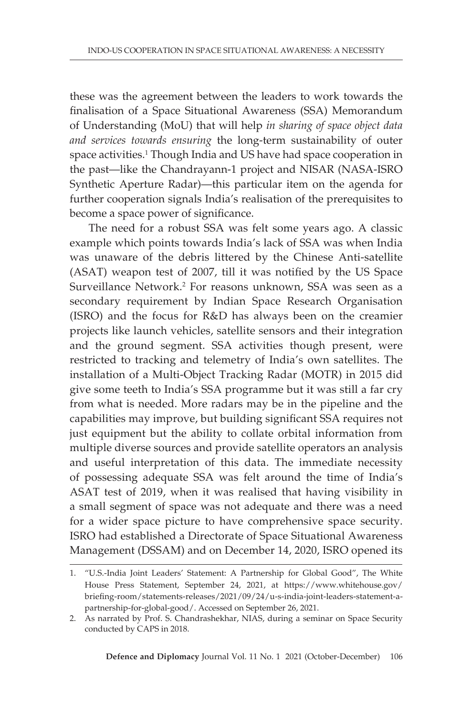these was the agreement between the leaders to work towards the finalisation of a Space Situational Awareness (SSA) Memorandum of Understanding (MoU) that will help *in sharing of space object data and services towards ensuring* the long-term sustainability of outer space activities.<sup>1</sup> Though India and US have had space cooperation in the past—like the Chandrayann-1 project and NISAR (NASA-ISRO Synthetic Aperture Radar)—this particular item on the agenda for further cooperation signals India's realisation of the prerequisites to become a space power of significance.

The need for a robust SSA was felt some years ago. A classic example which points towards India's lack of SSA was when India was unaware of the debris littered by the Chinese Anti-satellite (ASAT) weapon test of 2007, till it was notified by the US Space Surveillance Network.<sup>2</sup> For reasons unknown, SSA was seen as a secondary requirement by Indian Space Research Organisation (ISRO) and the focus for R&D has always been on the creamier projects like launch vehicles, satellite sensors and their integration and the ground segment. SSA activities though present, were restricted to tracking and telemetry of India's own satellites. The installation of a Multi-Object Tracking Radar (MOTR) in 2015 did give some teeth to India's SSA programme but it was still a far cry from what is needed. More radars may be in the pipeline and the capabilities may improve, but building significant SSA requires not just equipment but the ability to collate orbital information from multiple diverse sources and provide satellite operators an analysis and useful interpretation of this data. The immediate necessity of possessing adequate SSA was felt around the time of India's ASAT test of 2019, when it was realised that having visibility in a small segment of space was not adequate and there was a need for a wider space picture to have comprehensive space security. ISRO had established a Directorate of Space Situational Awareness Management (DSSAM) and on December 14, 2020, ISRO opened its

<sup>1.</sup> "U.S.-India Joint Leaders' Statement: A Partnership for Global Good", The White House Press Statement, September 24, 2021, at https://www.whitehouse.gov/ briefing-room/statements-releases/2021/09/24/u-s-india-joint-leaders-statement-apartnership-for-global-good/. Accessed on September 26, 2021.

<sup>2.</sup> As narrated by Prof. S. Chandrashekhar, NIAS, during a seminar on Space Security conducted by CAPS in 2018.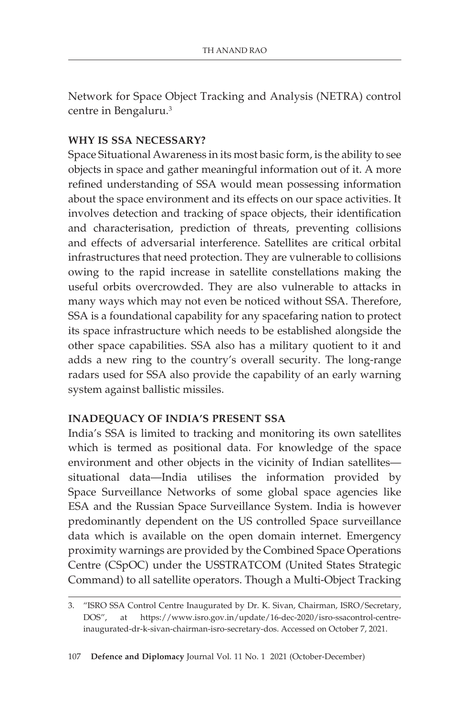Network for Space Object Tracking and Analysis (NETRA) control centre in Bengaluru.3

# **WHY IS SSA NECESSARY?**

Space Situational Awareness in its most basic form, is the ability to see objects in space and gather meaningful information out of it. A more refined understanding of SSA would mean possessing information about the space environment and its effects on our space activities. It involves detection and tracking of space objects, their identification and characterisation, prediction of threats, preventing collisions and effects of adversarial interference. Satellites are critical orbital infrastructures that need protection. They are vulnerable to collisions owing to the rapid increase in satellite constellations making the useful orbits overcrowded. They are also vulnerable to attacks in many ways which may not even be noticed without SSA. Therefore, SSA is a foundational capability for any spacefaring nation to protect its space infrastructure which needs to be established alongside the other space capabilities. SSA also has a military quotient to it and adds a new ring to the country's overall security. The long-range radars used for SSA also provide the capability of an early warning system against ballistic missiles.

### **INADEQUACY OF INDIA'S PRESENT SSA**

India's SSA is limited to tracking and monitoring its own satellites which is termed as positional data. For knowledge of the space environment and other objects in the vicinity of Indian satellites situational data—India utilises the information provided by Space Surveillance Networks of some global space agencies like ESA and the Russian Space Surveillance System. India is however predominantly dependent on the US controlled Space surveillance data which is available on the open domain internet. Emergency proximity warnings are provided by the Combined Space Operations Centre (CSpOC) under the USSTRATCOM (United States Strategic Command) to all satellite operators. Though a Multi-Object Tracking

<sup>3.</sup> "ISRO SSA Control Centre Inaugurated by Dr. K. Sivan, Chairman, ISRO/Secretary, DOS", at https://www.isro.gov.in/update/16-dec-2020/isro-ssacontrol-centreinaugurated-dr-k-sivan-chairman-isro-secretary-dos. Accessed on October 7, 2021.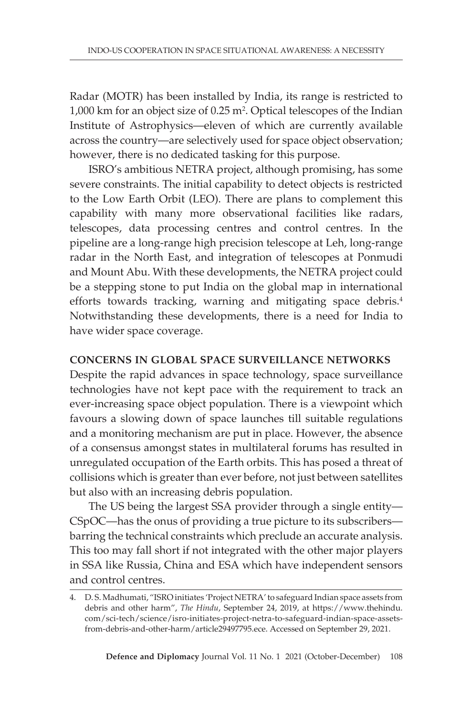Radar (MOTR) has been installed by India, its range is restricted to  $1,000$  km for an object size of  $0.25$  m<sup>2</sup>. Optical telescopes of the Indian Institute of Astrophysics—eleven of which are currently available across the country—are selectively used for space object observation; however, there is no dedicated tasking for this purpose.

ISRO's ambitious NETRA project, although promising, has some severe constraints. The initial capability to detect objects is restricted to the Low Earth Orbit (LEO). There are plans to complement this capability with many more observational facilities like radars, telescopes, data processing centres and control centres. In the pipeline are a long-range high precision telescope at Leh, long-range radar in the North East, and integration of telescopes at Ponmudi and Mount Abu. With these developments, the NETRA project could be a stepping stone to put India on the global map in international efforts towards tracking, warning and mitigating space debris.<sup>4</sup> Notwithstanding these developments, there is a need for India to have wider space coverage.

### **CONCERNS IN GLOBAL SPACE SURVEILLANCE NETWORKS**

Despite the rapid advances in space technology, space surveillance technologies have not kept pace with the requirement to track an ever-increasing space object population. There is a viewpoint which favours a slowing down of space launches till suitable regulations and a monitoring mechanism are put in place. However, the absence of a consensus amongst states in multilateral forums has resulted in unregulated occupation of the Earth orbits. This has posed a threat of collisions which is greater than ever before, not just between satellites but also with an increasing debris population.

The US being the largest SSA provider through a single entity— CSpOC—has the onus of providing a true picture to its subscribers barring the technical constraints which preclude an accurate analysis. This too may fall short if not integrated with the other major players in SSA like Russia, China and ESA which have independent sensors and control centres.

<sup>4.</sup> D. S. Madhumati, "ISRO initiates 'Project NETRA' to safeguard Indian space assets from debris and other harm", *The Hindu*, September 24, 2019, at https://www.thehindu. com/sci-tech/science/isro-initiates-project-netra-to-safeguard-indian-space-assetsfrom-debris-and-other-harm/article29497795.ece. Accessed on September 29, 2021.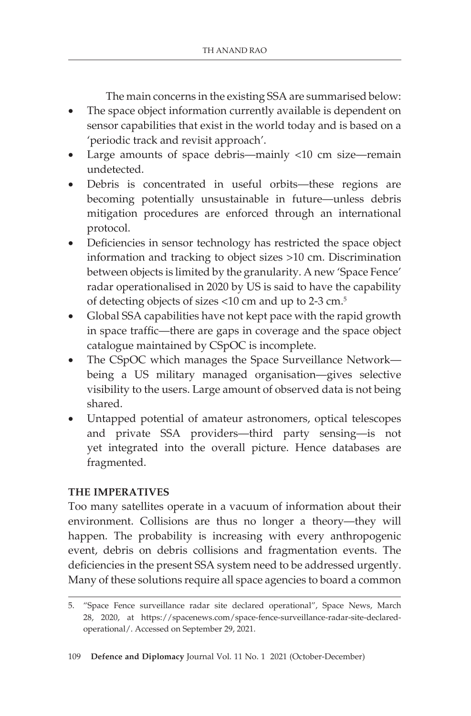The main concerns in the existing SSA are summarised below:

- The space object information currently available is dependent on sensor capabilities that exist in the world today and is based on a 'periodic track and revisit approach'.
- Large amounts of space debris—mainly <10 cm size—remain undetected.
- Debris is concentrated in useful orbits—these regions are becoming potentially unsustainable in future—unless debris mitigation procedures are enforced through an international protocol.
- Deficiencies in sensor technology has restricted the space object information and tracking to object sizes >10 cm. Discrimination between objects is limited by the granularity. A new 'Space Fence' radar operationalised in 2020 by US is said to have the capability of detecting objects of sizes <10 cm and up to 2-3 cm.5
- Global SSA capabilities have not kept pace with the rapid growth in space traffic—there are gaps in coverage and the space object catalogue maintained by CSpOC is incomplete.
- The CSpOC which manages the Space Surveillance Network being a US military managed organisation—gives selective visibility to the users. Large amount of observed data is not being shared.
- Untapped potential of amateur astronomers, optical telescopes and private SSA providers—third party sensing—is not yet integrated into the overall picture. Hence databases are fragmented.

### **THE IMPERATIVES**

Too many satellites operate in a vacuum of information about their environment. Collisions are thus no longer a theory—they will happen. The probability is increasing with every anthropogenic event, debris on debris collisions and fragmentation events. The deficiencies in the present SSA system need to be addressed urgently. Many of these solutions require all space agencies to board a common

<sup>5.</sup> "Space Fence surveillance radar site declared operational", Space News, March 28, 2020, at https://spacenews.com/space-fence-surveillance-radar-site-declaredoperational/. Accessed on September 29, 2021.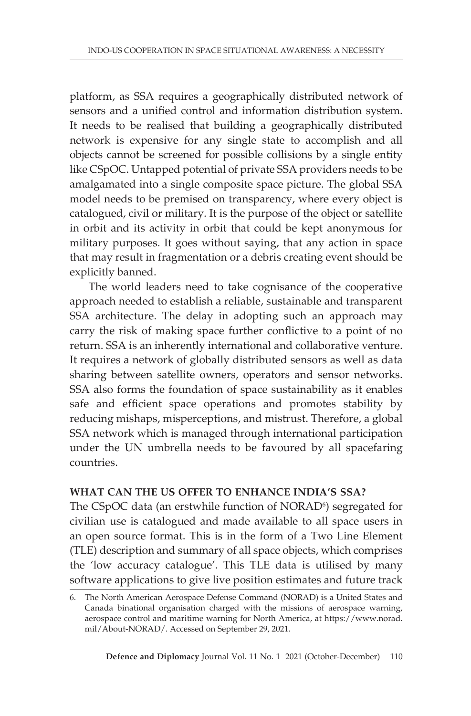platform, as SSA requires a geographically distributed network of sensors and a unified control and information distribution system. It needs to be realised that building a geographically distributed network is expensive for any single state to accomplish and all objects cannot be screened for possible collisions by a single entity like CSpOC. Untapped potential of private SSA providers needs to be amalgamated into a single composite space picture. The global SSA model needs to be premised on transparency, where every object is catalogued, civil or military. It is the purpose of the object or satellite in orbit and its activity in orbit that could be kept anonymous for military purposes. It goes without saying, that any action in space that may result in fragmentation or a debris creating event should be explicitly banned.

The world leaders need to take cognisance of the cooperative approach needed to establish a reliable, sustainable and transparent SSA architecture. The delay in adopting such an approach may carry the risk of making space further conflictive to a point of no return. SSA is an inherently international and collaborative venture. It requires a network of globally distributed sensors as well as data sharing between satellite owners, operators and sensor networks. SSA also forms the foundation of space sustainability as it enables safe and efficient space operations and promotes stability by reducing mishaps, misperceptions, and mistrust. Therefore, a global SSA network which is managed through international participation under the UN umbrella needs to be favoured by all spacefaring countries.

#### **WHAT CAN THE US OFFER TO ENHANCE INDIA'S SSA?**

The CSpOC data (an erstwhile function of NORAD<sup>6</sup>) segregated for civilian use is catalogued and made available to all space users in an open source format. This is in the form of a Two Line Element (TLE) description and summary of all space objects, which comprises the 'low accuracy catalogue'. This TLE data is utilised by many software applications to give live position estimates and future track

<sup>6.</sup> The North American Aerospace Defense Command (NORAD) is a United States and Canada binational organisation charged with the missions of aerospace warning, aerospace control and maritime warning for North America, at https://www.norad. mil/About-NORAD/. Accessed on September 29, 2021.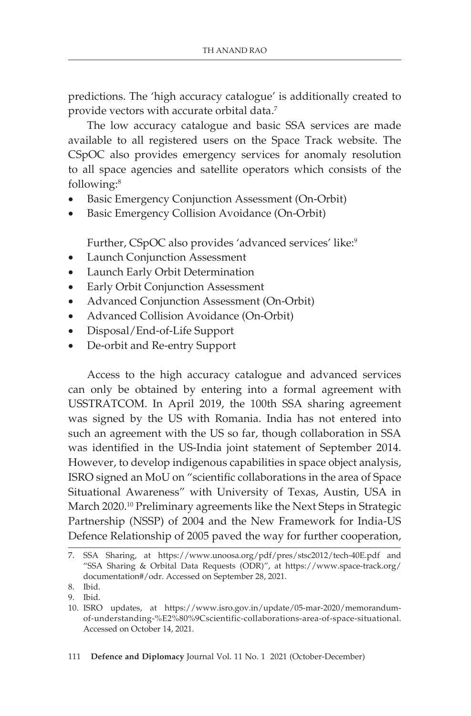predictions. The 'high accuracy catalogue' is additionally created to provide vectors with accurate orbital data.<sup>7</sup>

The low accuracy catalogue and basic SSA services are made available to all registered users on the Space Track website. The CSpOC also provides emergency services for anomaly resolution to all space agencies and satellite operators which consists of the following:8

- Basic Emergency Conjunction Assessment (On-Orbit)
- Basic Emergency Collision Avoidance (On-Orbit)

Further, CSpOC also provides 'advanced services' like:<sup>9</sup>

- Launch Conjunction Assessment
- Launch Early Orbit Determination
- Early Orbit Conjunction Assessment
- Advanced Conjunction Assessment (On-Orbit)
- Advanced Collision Avoidance (On-Orbit)
- Disposal/End-of-Life Support
- De-orbit and Re-entry Support

Access to the high accuracy catalogue and advanced services can only be obtained by entering into a formal agreement with USSTRATCOM. In April 2019, the 100th SSA sharing agreement was signed by the US with Romania. India has not entered into such an agreement with the US so far, though collaboration in SSA was identified in the US-India joint statement of September 2014. However, to develop indigenous capabilities in space object analysis, ISRO signed an MoU on "scientific collaborations in the area of Space Situational Awareness" with University of Texas, Austin, USA in March 2020.10 Preliminary agreements like the Next Steps in Strategic Partnership (NSSP) of 2004 and the New Framework for India-US Defence Relationship of 2005 paved the way for further cooperation,

<sup>7.</sup> SSA Sharing, at https://www.unoosa.org/pdf/pres/stsc2012/tech-40E.pdf and "SSA Sharing & Orbital Data Requests (ODR)", at https://www.space-track.org/ documentation#/odr. Accessed on September 28, 2021.

<sup>8.</sup> Ibid.

<sup>9.</sup> Ibid.

<sup>10.</sup> ISRO updates, at https://www.isro.gov.in/update/05-mar-2020/memorandumof-understanding-%E2%80%9Cscientific-collaborations-area-of-space-situational. Accessed on October 14, 2021.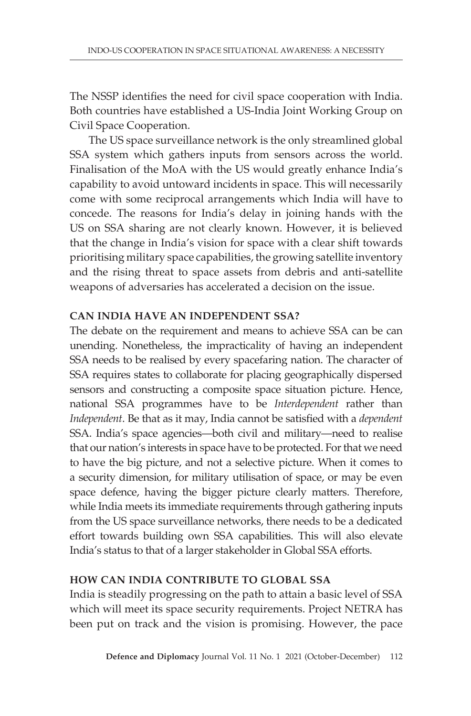The NSSP identifies the need for civil space cooperation with India. Both countries have established a US-India Joint Working Group on Civil Space Cooperation.

The US space surveillance network is the only streamlined global SSA system which gathers inputs from sensors across the world. Finalisation of the MoA with the US would greatly enhance India's capability to avoid untoward incidents in space. This will necessarily come with some reciprocal arrangements which India will have to concede. The reasons for India's delay in joining hands with the US on SSA sharing are not clearly known. However, it is believed that the change in India's vision for space with a clear shift towards prioritising military space capabilities, the growing satellite inventory and the rising threat to space assets from debris and anti-satellite weapons of adversaries has accelerated a decision on the issue.

### **CAN INDIA HAVE AN INDEPENDENT SSA?**

The debate on the requirement and means to achieve SSA can be can unending. Nonetheless, the impracticality of having an independent SSA needs to be realised by every spacefaring nation. The character of SSA requires states to collaborate for placing geographically dispersed sensors and constructing a composite space situation picture. Hence, national SSA programmes have to be *Interdependent* rather than *Independent*. Be that as it may, India cannot be satisfied with a *dependent* SSA. India's space agencies—both civil and military—need to realise that our nation's interests in space have to be protected. For that we need to have the big picture, and not a selective picture. When it comes to a security dimension, for military utilisation of space, or may be even space defence, having the bigger picture clearly matters. Therefore, while India meets its immediate requirements through gathering inputs from the US space surveillance networks, there needs to be a dedicated effort towards building own SSA capabilities. This will also elevate India's status to that of a larger stakeholder in Global SSA efforts.

# **HOW CAN INDIA CONTRIBUTE TO GLOBAL SSA**

India is steadily progressing on the path to attain a basic level of SSA which will meet its space security requirements. Project NETRA has been put on track and the vision is promising. However, the pace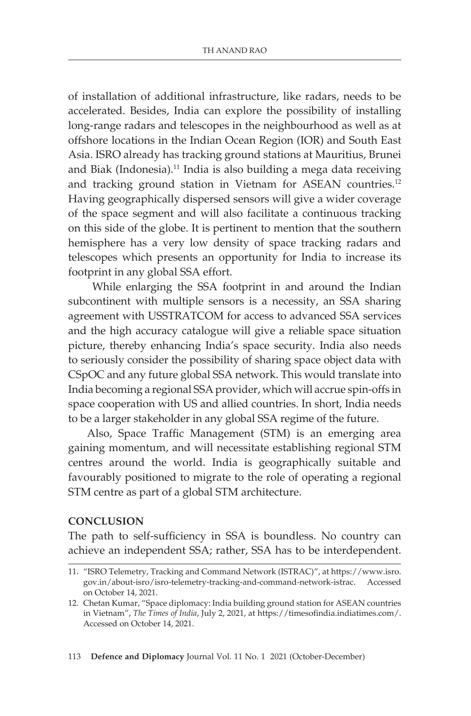of installation of additional infrastructure, like radars, needs to be accelerated. Besides, India can explore the possibility of installing long-range radars and telescopes in the neighbourhood as well as at offshore locations in the Indian Ocean Region (IOR) and South East Asia. ISRO already has tracking ground stations at Mauritius, Brunei and Biak (Indonesia).11 India is also building a mega data receiving and tracking ground station in Vietnam for ASEAN countries.<sup>12</sup> Having geographically dispersed sensors will give a wider coverage of the space segment and will also facilitate a continuous tracking on this side of the globe. It is pertinent to mention that the southern hemisphere has a very low density of space tracking radars and telescopes which presents an opportunity for India to increase its footprint in any global SSA effort.

 While enlarging the SSA footprint in and around the Indian subcontinent with multiple sensors is a necessity, an SSA sharing agreement with USSTRATCOM for access to advanced SSA services and the high accuracy catalogue will give a reliable space situation picture, thereby enhancing India's space security. India also needs to seriously consider the possibility of sharing space object data with CSpOC and any future global SSA network. This would translate into India becoming a regional SSA provider, which will accrue spin-offs in space cooperation with US and allied countries. In short, India needs to be a larger stakeholder in any global SSA regime of the future.

Also, Space Traffic Management (STM) is an emerging area gaining momentum, and will necessitate establishing regional STM centres around the world. India is geographically suitable and favourably positioned to migrate to the role of operating a regional STM centre as part of a global STM architecture.

#### **CONCLUSION**

The path to self-sufficiency in SSA is boundless. No country can achieve an independent SSA; rather, SSA has to be interdependent.

<sup>11.</sup> "ISRO Telemetry, Tracking and Command Network (ISTRAC)", at https://www.isro. gov.in/about-isro/isro-telemetry-tracking-and-command-network-istrac. Accessed on October 14, 2021.

<sup>12.</sup> Chetan Kumar, "Space diplomacy: India building ground station for ASEAN countries in Vietnam", *The Times of India*, July 2, 2021, at https://timesofindia.indiatimes.com/. Accessed on October 14, 2021.